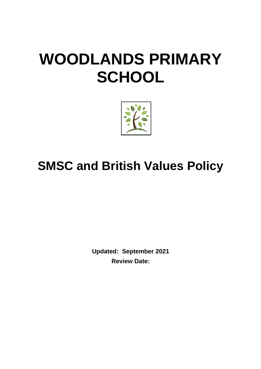# **WOODLANDS PRIMARY SCHOOL**



# **SMSC and British Values Policy**

**Updated: September 2021 Review Date:**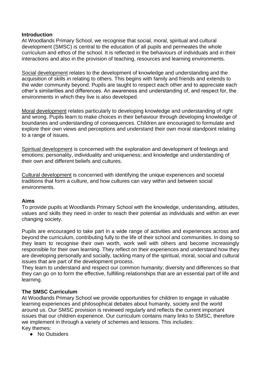#### **Introduction**

At Woodlands Primary School, we recognise that social, moral, spiritual and cultural development (SMSC) is central to the education of all pupils and permeates the whole curriculum and ethos of the school. It is reflected in the behaviours of individuals and in their interactions and also in the provision of teaching, resources and learning environments.

Social development relates to the development of knowledge and understanding and the acquisition of skills in relating to others. This begins with family and friends and extends to the wider community beyond. Pupils are taught to respect each other and to appreciate each other's similarities and differences. An awareness and understanding of, and respect for, the environments in which they live is also developed.

Moral development relates particularly to developing knowledge and understanding of right and wrong. Pupils learn to make choices in their behaviour through developing knowledge of boundaries and understanding of consequences. Children are encouraged to formulate and explore their own views and perceptions and understand their own moral standpoint relating to a range of issues.

Spiritual development is concerned with the exploration and development of feelings and emotions; personality, individuality and uniqueness; and knowledge and understanding of their own and different beliefs and cultures.

Cultural development is concerned with identifying the unique experiences and societal traditions that form a culture, and how cultures can vary within and between social environments.

#### **Aims**

To provide pupils at Woodlands Primary School with the knowledge, understanding, attitudes, values and skills they need in order to reach their potential as individuals and within an ever changing society.

Pupils are encouraged to take part in a wide range of activities and experiences across and beyond the curriculum, contributing fully to the life of their school and communities. In doing so they learn to recognise their own worth, work well with others and become increasingly responsible for their own learning. They reflect on their experiences and understand how they are developing personally and socially, tackling many of the spiritual, moral, social and cultural issues that are part of the development process.

They learn to understand and respect our common humanity; diversity and differences so that they can go on to form the effective, fulfilling relationships that are an essential part of life and learning.

#### **The SMSC Curriculum**

At Woodlands Primary School we provide opportunities for children to engage in valuable learning experiences and philosophical debates about humanity, society and the world around us. Our SMSC provision is reviewed regularly and reflects the current important issues that our children experience. Our curriculum contains many links to SMSC, therefore we implement in through a variety of schemes and lessons. This includes: Key themes:

● No Outsiders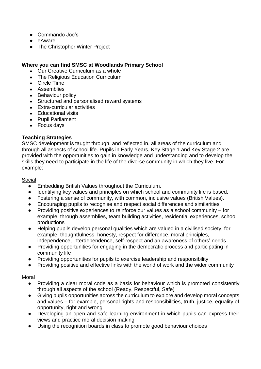- Commando Joe's
- eAware
- The Christopher Winter Project

# **Where you can find SMSC at Woodlands Primary School**

- Our Creative Curriculum as a whole
- The Religious Education Curriculum
- Circle Time
- Assemblies
- Behaviour policy
- Structured and personalised reward systems
- Extra-curricular activities
- Educational visits
- Pupil Parliament
- Focus days

#### **Teaching Strategies**

SMSC development is taught through, and reflected in, all areas of the curriculum and through all aspects of school life. Pupils in Early Years, Key Stage 1 and Key Stage 2 are provided with the opportunities to gain in knowledge and understanding and to develop the skills they need to participate in the life of the diverse community in which they live. For example:

#### Social

- Embedding British Values throughout the Curriculum.
- Identifying key values and principles on which school and community life is based.
- Fostering a sense of community, with common, inclusive values (British Values).
- Encouraging pupils to recognise and respect social differences and similarities
- Providing positive experiences to reinforce our values as a school community  $-$  for example, through assemblies, team building activities, residential experiences, school productions
- Helping pupils develop personal qualities which are valued in a civilised society, for example, thoughtfulness, honesty, respect for difference, moral principles, independence, interdependence, self-respect and an awareness of others' needs
- Providing opportunities for engaging in the democratic process and participating in community life
- Providing opportunities for pupils to exercise leadership and responsibility
- Providing positive and effective links with the world of work and the wider community

#### Moral

- Providing a clear moral code as a basis for behaviour which is promoted consistently through all aspects of the school (Ready, Respectful, Safe)
- Giving pupils opportunities across the curriculum to explore and develop moral concepts and values – for example, personal rights and responsibilities, truth, justice, equality of opportunity, right and wrong
- Developing an open and safe learning environment in which pupils can express their views and practice moral decision making
- Using the recognition boards in class to promote good behaviour choices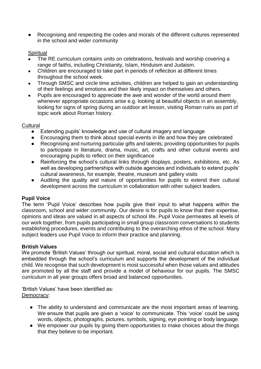● Recognising and respecting the codes and morals of the different cultures represented in the school and wider community

# **Spiritual**

- The RE curriculum contains units on celebrations, festivals and worship covering a range of faiths, including Christianity, Islam, Hinduism and Judaism.
- Children are encouraged to take part in periods of reflection at different times throughout the school week.
- Through SMSC and circle time activities, children are helped to gain an understanding of their feelings and emotions and their likely impact on themselves and others.
- Pupils are encouraged to appreciate the awe and wonder of the world around them whenever appropriate occasions arise e.g. looking at beautiful objects in an assembly, looking for signs of spring during an outdoor art lesson, visiting Roman ruins as part of topic work about Roman history.

# **Cultural**

- Extending pupils' knowledge and use of cultural imagery and language
- Encouraging them to think about special events in life and how they are celebrated
- Recognising and nurturing particular gifts and talents; providing opportunities for pupils to participate in literature, drama, music, art, crafts and other cultural events and encouraging pupils to reflect on their significance
- Reinforcing the school's cultural links through displays, posters, exhibitions, etc. As well as developing partnerships with outside agencies and individuals to extend pupils' cultural awareness, for example, theatre, museum and gallery visits
- Auditing the quality and nature of opportunities for pupils to extend their cultural development across the curriculum in collaboration with other subject leaders.

# **Pupil Voice**

The term 'Pupil Voice' describes how pupils give their input to what happens within the classroom, school and wider community. Our desire is for pupils to know that their expertise, opinions and ideas are valued in all aspects of school life. Pupil Voice permeates all levels of our work together, from pupils participating in small group classroom conversations to students establishing procedures, events and contributing to the overarching ethos of the school. Many subject leaders use Pupil Voice to inform their practice and planning.

# **British Values**

We promote 'British Values' through our spiritual, moral, social and cultural education which is embedded through the school's curriculum and supports the development of the individual child. We recognise that such development is most successful when those values and attitudes are promoted by all the staff and provide a model of behaviour for our pupils. The SMSC curriculum in all year groups offers broad and balanced opportunities.

'British Values' have been identified as: Democracy:

- The ability to understand and communicate are the most important areas of learning. We ensure that pupils are given a 'voice' to communicate. This 'voice' could be using words, objects, photographs, pictures, symbols, signing, eye pointing or body language.
- We empower our pupils by giving them opportunities to make choices about the things that they believe to be important.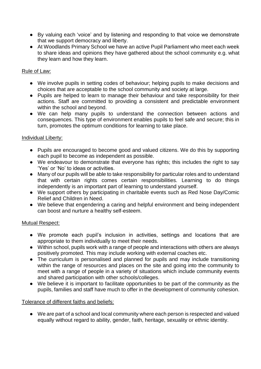- By valuing each 'voice' and by listening and responding to that voice we demonstrate that we support democracy and liberty.
- At Woodlands Primary School we have an active Pupil Parliament who meet each week to share ideas and opinions they have gathered about the school community e.g. what they learn and how they learn.

# Rule of Law:

- We involve pupils in setting codes of behaviour; helping pupils to make decisions and choices that are acceptable to the school community and society at large.
- Pupils are helped to learn to manage their behaviour and take responsibility for their actions. Staff are committed to providing a consistent and predictable environment within the school and beyond.
- We can help many pupils to understand the connection between actions and consequences. This type of environment enables pupils to feel safe and secure; this in turn, promotes the optimum conditions for learning to take place.

# Individual Liberty:

- Pupils are encouraged to become good and valued citizens. We do this by supporting each pupil to become as independent as possible.
- We endeavour to demonstrate that everyone has rights; this includes the right to say 'Yes' or 'No' to ideas or activities.
- Many of our pupils will be able to take responsibility for particular roles and to understand that with certain rights comes certain responsibilities. Learning to do things independently is an important part of learning to understand yourself.
- We support others by participating in charitable events such as Red Nose Day/Comic Relief and Children in Need.
- We believe that engendering a caring and helpful environment and being independent can boost and nurture a healthy self-esteem.

# Mutual Respect:

- We promote each pupil's inclusion in activities, settings and locations that are appropriate to them individually to meet their needs.
- Within school, pupils work with a range of people and interactions with others are always positively promoted. This may include working with external coaches etc.
- The curriculum is personalised and planned for pupils and may include transitioning within the range of resources and places on the site and going into the community to meet with a range of people in a variety of situations which include community events and shared participation with other schools/colleges.
- We believe it is important to facilitate opportunities to be part of the community as the pupils, families and staff have much to offer in the development of community cohesion.

# Tolerance of different faiths and beliefs:

● We are part of a school and local community where each person is respected and valued equally without regard to ability, gender, faith, heritage, sexuality or ethnic identity.